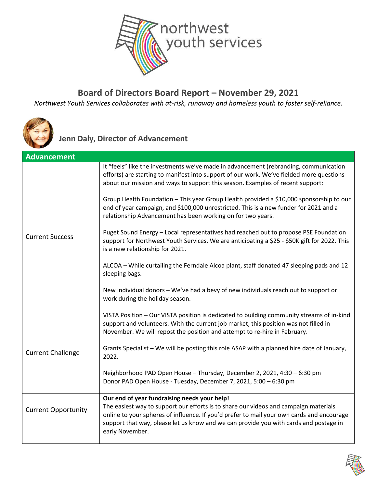

## **Board of Directors Board Report – November 29, 2021**

*Northwest Youth Services collaborates with at-risk, runaway and homeless youth to foster self-reliance.*



**Jenn Daly, Director of Advancement**

| <b>Advancement</b>         |                                                                                                                                                                                                                                                                                                                                               |
|----------------------------|-----------------------------------------------------------------------------------------------------------------------------------------------------------------------------------------------------------------------------------------------------------------------------------------------------------------------------------------------|
| <b>Current Success</b>     | It "feels" like the investments we've made in advancement (rebranding, communication<br>efforts) are starting to manifest into support of our work. We've fielded more questions<br>about our mission and ways to support this season. Examples of recent support:                                                                            |
|                            | Group Health Foundation - This year Group Health provided a \$10,000 sponsorship to our<br>end of year campaign, and \$100,000 unrestricted. This is a new funder for 2021 and a<br>relationship Advancement has been working on for two years.                                                                                               |
|                            | Puget Sound Energy - Local representatives had reached out to propose PSE Foundation<br>support for Northwest Youth Services. We are anticipating a \$25 - \$50K gift for 2022. This<br>is a new relationship for 2021.                                                                                                                       |
|                            | ALCOA - While curtailing the Ferndale Alcoa plant, staff donated 47 sleeping pads and 12<br>sleeping bags.                                                                                                                                                                                                                                    |
|                            | New individual donors - We've had a bevy of new individuals reach out to support or<br>work during the holiday season.                                                                                                                                                                                                                        |
| <b>Current Challenge</b>   | VISTA Position - Our VISTA position is dedicated to building community streams of in-kind<br>support and volunteers. With the current job market, this position was not filled in<br>November. We will repost the position and attempt to re-hire in February.                                                                                |
|                            | Grants Specialist - We will be posting this role ASAP with a planned hire date of January,<br>2022.                                                                                                                                                                                                                                           |
|                            | Neighborhood PAD Open House - Thursday, December 2, 2021, 4:30 - 6:30 pm<br>Donor PAD Open House - Tuesday, December 7, 2021, 5:00 - 6:30 pm                                                                                                                                                                                                  |
| <b>Current Opportunity</b> | Our end of year fundraising needs your help!<br>The easiest way to support our efforts is to share our videos and campaign materials<br>online to your spheres of influence. If you'd prefer to mail your own cards and encourage<br>support that way, please let us know and we can provide you with cards and postage in<br>early November. |

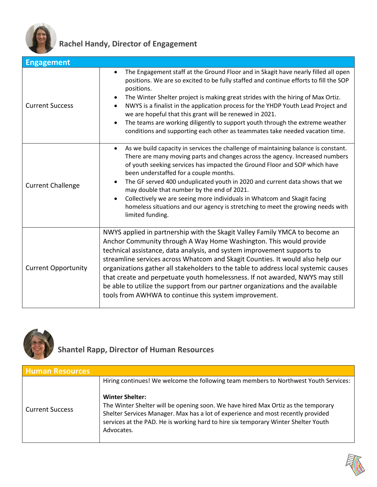

## **Rachel Handy, Director of Engagement**

| <b>Engagement</b>          |                                                                                                                                                                                                                                                                                                                                                                                                                                                                                                                                                                                                                                    |
|----------------------------|------------------------------------------------------------------------------------------------------------------------------------------------------------------------------------------------------------------------------------------------------------------------------------------------------------------------------------------------------------------------------------------------------------------------------------------------------------------------------------------------------------------------------------------------------------------------------------------------------------------------------------|
| <b>Current Success</b>     | The Engagement staff at the Ground Floor and in Skagit have nearly filled all open<br>positions. We are so excited to be fully staffed and continue efforts to fill the SOP<br>positions.<br>The Winter Shelter project is making great strides with the hiring of Max Ortiz.<br>$\bullet$<br>NWYS is a finalist in the application process for the YHDP Youth Lead Project and<br>we are hopeful that this grant will be renewed in 2021.<br>The teams are working diligently to support youth through the extreme weather<br>conditions and supporting each other as teammates take needed vacation time.                        |
| <b>Current Challenge</b>   | As we build capacity in services the challenge of maintaining balance is constant.<br>$\bullet$<br>There are many moving parts and changes across the agency. Increased numbers<br>of youth seeking services has impacted the Ground Floor and SOP which have<br>been understaffed for a couple months.<br>The GF served 400 unduplicated youth in 2020 and current data shows that we<br>may double that number by the end of 2021.<br>Collectively we are seeing more individuals in Whatcom and Skagit facing<br>homeless situations and our agency is stretching to meet the growing needs with<br>limited funding.            |
| <b>Current Opportunity</b> | NWYS applied in partnership with the Skagit Valley Family YMCA to become an<br>Anchor Community through A Way Home Washington. This would provide<br>technical assistance, data analysis, and system improvement supports to<br>streamline services across Whatcom and Skagit Counties. It would also help our<br>organizations gather all stakeholders to the table to address local systemic causes<br>that create and perpetuate youth homelessness. If not awarded, NWYS may still<br>be able to utilize the support from our partner organizations and the available<br>tools from AWHWA to continue this system improvement. |



## **Shantel Rapp, Director of Human Resources**

| <b>Human Resources</b> |                                                                                                                                                                                                                                                                                                     |
|------------------------|-----------------------------------------------------------------------------------------------------------------------------------------------------------------------------------------------------------------------------------------------------------------------------------------------------|
|                        | Hiring continues! We welcome the following team members to Northwest Youth Services:                                                                                                                                                                                                                |
| <b>Current Success</b> | <b>Winter Shelter:</b><br>The Winter Shelter will be opening soon. We have hired Max Ortiz as the temporary<br>Shelter Services Manager. Max has a lot of experience and most recently provided<br>services at the PAD. He is working hard to hire six temporary Winter Shelter Youth<br>Advocates. |

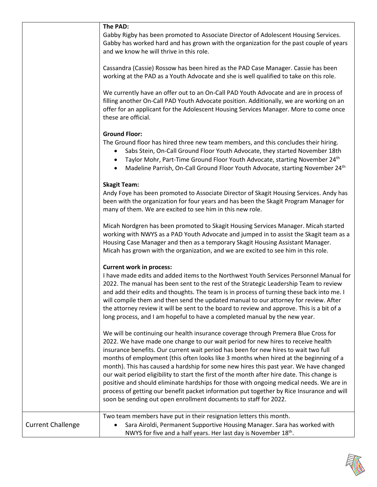|                          | The PAD:<br>Gabby Rigby has been promoted to Associate Director of Adolescent Housing Services.<br>Gabby has worked hard and has grown with the organization for the past couple of years<br>and we know he will thrive in this role.                                                                                                                                                                                                                                                                                                                                                                                                                                                                                                                                                                      |
|--------------------------|------------------------------------------------------------------------------------------------------------------------------------------------------------------------------------------------------------------------------------------------------------------------------------------------------------------------------------------------------------------------------------------------------------------------------------------------------------------------------------------------------------------------------------------------------------------------------------------------------------------------------------------------------------------------------------------------------------------------------------------------------------------------------------------------------------|
|                          | Cassandra (Cassie) Rossow has been hired as the PAD Case Manager. Cassie has been<br>working at the PAD as a Youth Advocate and she is well qualified to take on this role.                                                                                                                                                                                                                                                                                                                                                                                                                                                                                                                                                                                                                                |
|                          | We currently have an offer out to an On-Call PAD Youth Advocate and are in process of<br>filling another On-Call PAD Youth Advocate position. Additionally, we are working on an<br>offer for an applicant for the Adolescent Housing Services Manager. More to come once<br>these are official.                                                                                                                                                                                                                                                                                                                                                                                                                                                                                                           |
|                          | <b>Ground Floor:</b><br>The Ground floor has hired three new team members, and this concludes their hiring.<br>Sabs Stein, On-Call Ground Floor Youth Advocate, they started November 18th<br>Taylor Mohr, Part-Time Ground Floor Youth Advocate, starting November 24th<br>Madeline Parrish, On-Call Ground Floor Youth Advocate, starting November 24 <sup>th</sup><br>$\bullet$                                                                                                                                                                                                                                                                                                                                                                                                                         |
|                          | <b>Skagit Team:</b><br>Andy Foye has been promoted to Associate Director of Skagit Housing Services. Andy has<br>been with the organization for four years and has been the Skagit Program Manager for<br>many of them. We are excited to see him in this new role.                                                                                                                                                                                                                                                                                                                                                                                                                                                                                                                                        |
|                          | Micah Nordgren has been promoted to Skagit Housing Services Manager. Micah started<br>working with NWYS as a PAD Youth Advocate and jumped in to assist the Skagit team as a<br>Housing Case Manager and then as a temporary Skagit Housing Assistant Manager.<br>Micah has grown with the organization, and we are excited to see him in this role.                                                                                                                                                                                                                                                                                                                                                                                                                                                       |
|                          | <b>Current work in process:</b><br>I have made edits and added items to the Northwest Youth Services Personnel Manual for<br>2022. The manual has been sent to the rest of the Strategic Leadership Team to review<br>and add their edits and thoughts. The team is in process of turning these back into me. I<br>will compile them and then send the updated manual to our attorney for review. After<br>the attorney review it will be sent to the board to review and approve. This is a bit of a<br>long process, and I am hopeful to have a completed manual by the new year.                                                                                                                                                                                                                        |
|                          | We will be continuing our health insurance coverage through Premera Blue Cross for<br>2022. We have made one change to our wait period for new hires to receive health<br>insurance benefits. Our current wait period has been for new hires to wait two full<br>months of employment (this often looks like 3 months when hired at the beginning of a<br>month). This has caused a hardship for some new hires this past year. We have changed<br>our wait period eligibility to start the first of the month after hire date. This change is<br>positive and should eliminate hardships for those with ongoing medical needs. We are in<br>process of getting our benefit packet information put together by Rice Insurance and will<br>soon be sending out open enrollment documents to staff for 2022. |
| <b>Current Challenge</b> | Two team members have put in their resignation letters this month.<br>Sara Airoldi, Permanent Supportive Housing Manager. Sara has worked with<br>NWYS for five and a half years. Her last day is November 18 <sup>th</sup> .                                                                                                                                                                                                                                                                                                                                                                                                                                                                                                                                                                              |